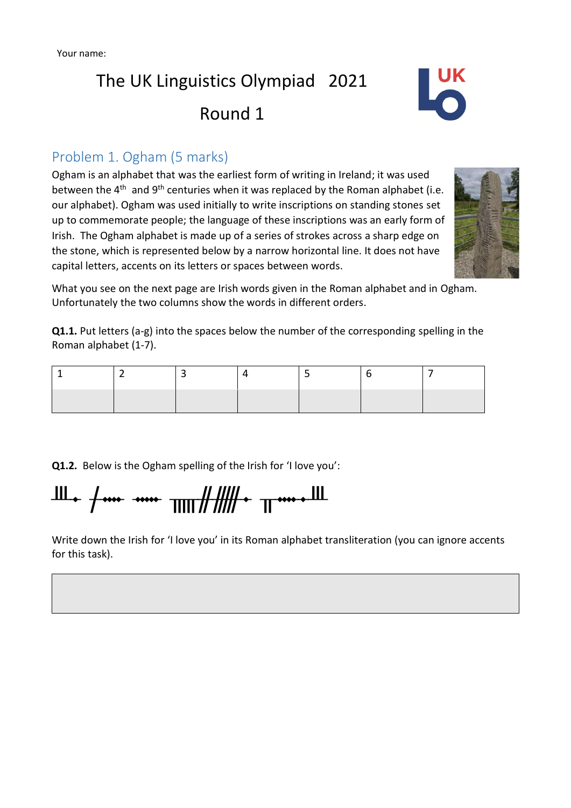# The UK Linguistics Olympiad 2021 Round 1



### Problem 1. Ogham (5 marks)

Ogham is an alphabet that was the earliest form of writing in Ireland; it was used between the 4<sup>th</sup> and 9<sup>th</sup> centuries when it was replaced by the Roman alphabet (i.e. our alphabet). Ogham was used initially to write inscriptions on standing stones set up to commemorate people; the language of these inscriptions was an early form of Irish. The Ogham alphabet is made up of a series of strokes across a sharp edge on the stone, which is represented below by a narrow horizontal line. It does not have capital letters, accents on its letters or spaces between words.



What you see on the next page are Irish words given in the Roman alphabet and in Ogham. Unfortunately the two columns show the words in different orders.

**Q1.1.** Put letters (a-g) into the spaces below the number of the corresponding spelling in the Roman alphabet (1-7).

**Q1.2.** Below is the Ogham spelling of the Irish for 'I love you':

Ш÷ <del>/ … … шт####+</del> т

Write down the Irish for 'I love you' in its Roman alphabet transliteration (you can ignore accents for this task).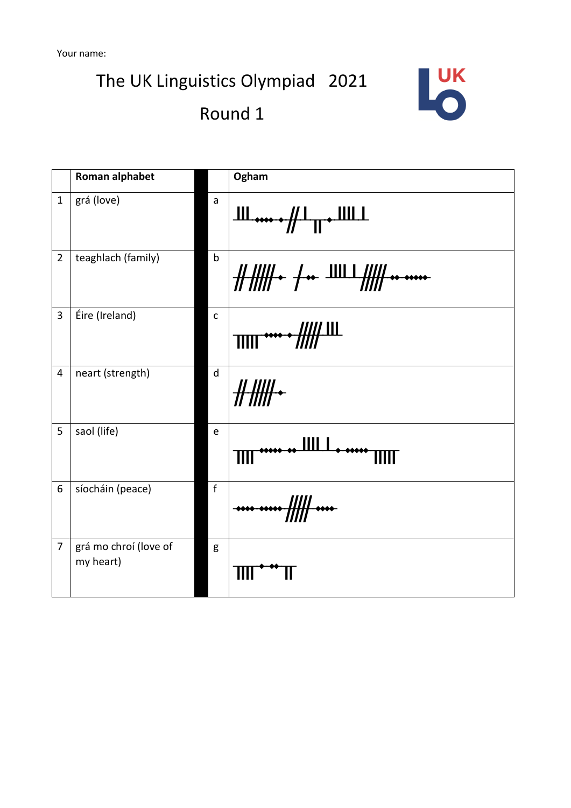The UK Linguistics Olympiad 2021





|                | Roman alphabet                     |              | Ogham                                                                                                                            |  |  |
|----------------|------------------------------------|--------------|----------------------------------------------------------------------------------------------------------------------------------|--|--|
| $\mathbf{1}$   | grá (love)                         | a            | ╨╨ <b>┅┅╌</b> ╫┸╥╼╨╨┸                                                                                                            |  |  |
| $\overline{2}$ | teaghlach (family)                 | $\mathsf b$  | $\frac{1}{1!}$ $\frac{1}{1!}$ $\frac{1}{1!}$ $\frac{1}{1!}$ $\frac{1}{1!}$ $\frac{1}{1!}$ $\frac{1}{1!}$ $\frac{1}{1!}$ $\cdots$ |  |  |
| 3              | Éire (Ireland)                     | $\mathsf{C}$ |                                                                                                                                  |  |  |
| $\overline{4}$ | neart (strength)                   | d            |                                                                                                                                  |  |  |
| 5              | saol (life)                        | $\mathsf e$  | Ш                                                                                                                                |  |  |
| 6              | síocháin (peace)                   | $\mathbf{f}$ |                                                                                                                                  |  |  |
| 7              | grá mo chroí (love of<br>my heart) | g            |                                                                                                                                  |  |  |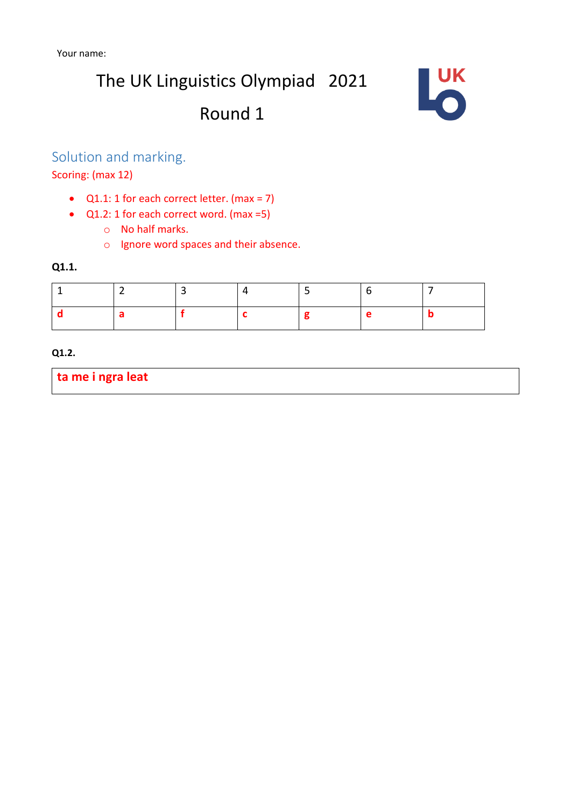The UK Linguistics Olympiad 2021

## Round 1



### Solution and marking.

Scoring: (max 12)

- $Q1.1: 1$  for each correct letter. (max = 7)
- Q1.2: 1 for each correct word. (max =5)
	- o No half marks.
	- o Ignore word spaces and their absence.

#### **Q1.1.**

#### **Q1.2.**

**ta me i ngra leat**